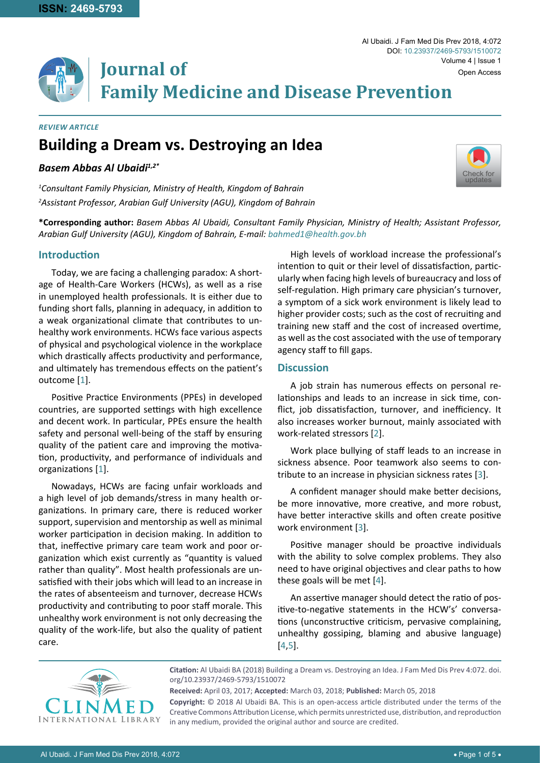**\*Corresponding author:** *Basem Abbas Al Ubaidi, Consultant Family Physician, Ministry of Health; Assistant Professor, Arabian Gulf University (AGU), Kingdom of Bahrain, E-mail: bahmed1@health.gov.bh*

**Family Medicine and Disease Prevention**

# **Introduction**

*Review Article*

*Basem Abbas Al Ubaidi1,2\**

Today, we are facing a challenging paradox: A shortage of Health-Care Workers (HCWs), as well as a rise in unemployed health professionals. It is either due to funding short falls, planning in adequacy, in addition to a weak organizational climate that contributes to unhealthy work environments. HCWs face various aspects of physical and psychological violence in the workplace which drastically affects productivity and performance, and ultimately has tremendous effects on the patient's outcome [[1\]](#page-3-2).

**Journal of** 

**Building a Dream vs. Destroying an Idea**

*1 Consultant Family Physician, Ministry of Health, Kingdom of Bahrain 2 Assistant Professor, Arabian Gulf University (AGU), Kingdom of Bahrain*

Positive Practice Environments (PPEs) in developed countries, are supported settings with high excellence and decent work. In particular, PPEs ensure the health safety and personal well-being of the staff by ensuring quality of the patient care and improving the motivation, productivity, and performance of individuals and organizations [[1\]](#page-3-2).

Nowadays, HCWs are facing unfair workloads and a high level of job demands/stress in many health organizations. In primary care, there is reduced worker support, supervision and mentorship as well as minimal worker participation in decision making. In addition to that, ineffective primary care team work and poor organization which exist currently as "quantity is valued rather than quality". Most health professionals are unsatisfied with their jobs which will lead to an increase in the rates of absenteeism and turnover, decrease HCWs productivity and contributing to poor staff morale. This unhealthy work environment is not only decreasing the quality of the work-life, but also the quality of patient care.

High levels of workload increase the professional's intention to quit or their level of dissatisfaction, particularly when facing high levels of bureaucracy and loss of self-regulation. High primary care physician's turnover, a symptom of a sick work environment is likely lead to higher provider costs; such as the cost of recruiting and training new staff and the cost of increased overtime, as well as the cost associated with the use of temporary agency staff to fill gaps.

#### **Discussion**

A job strain has numerous effects on personal relationships and leads to an increase in sick time, conflict, job dissatisfaction, turnover, and inefficiency. It also increases worker burnout, mainly associated with work-related stressors [[2\]](#page-3-0).

Work place bullying of staff leads to an increase in sickness absence. Poor teamwork also seems to contribute to an increase in physician sickness rates [[3](#page-3-1)].

A confident manager should make better decisions, be more innovative, more creative, and more robust, have better interactive skills and often create positive work environment [[3](#page-3-1)].

Positive manager should be proactive individuals with the ability to solve complex problems. They also need to have original objectives and clear paths to how these goals will be met [[4\]](#page-4-0).

An assertive manager should detect the ratio of positive-to-negative statements in the HCW's' conversations (unconstructive criticism, pervasive complaining, unhealthy gossiping, blaming and abusive language) [[4](#page-4-0),[5](#page-4-1)].

**Received:** April 03, 2017; **Accepted:** March 03, 2018; **Published:** March 05, 2018

**Copyright:** © 2018 Al Ubaidi BA. This is an open-access article distributed under the terms of the Creative Commons Attribution License, which permits unrestricted use, distribution, and reproduction in any medium, provided the original author and source are credited.





**Citation:** Al Ubaidi BA (2018) Building a Dream vs. Destroying an Idea. J Fam Med Dis Prev 4:072. [doi.](https://doi.org/10.23937/2469-5793/1510072) [org/10.23937/2469-5793/1510072](https://doi.org/10.23937/2469-5793/1510072)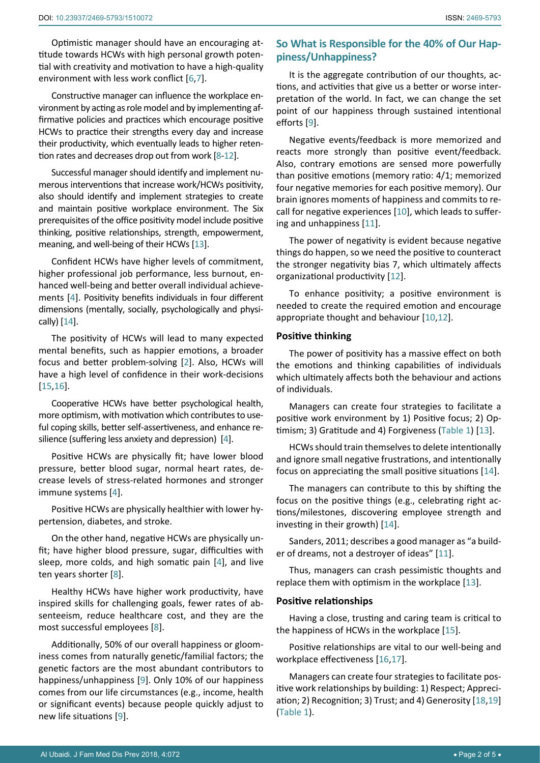Optimistic manager should have an encouraging attitude towards HCWs with high personal growth potential with creativity and motivation to have a high-quality environment with less work conflict [[6](#page-4-13)[,7\]](#page-4-14).

Constructive manager can influence the workplace environment by acting as role model and by implementing affirmative policies and practices which encourage positive HCWs to practice their strengths every day and increase their productivity, which eventually leads to higher retention rates and decreases drop out from work [[8](#page-4-15)[-12\]](#page-4-5).

Successful manager should identify and implement numerous interventions that increase work/HCWs positivity, also should identify and implement strategies to create and maintain positive workplace environment. The Six prerequisites of the office positivity model include positive thinking, positive relationships, strength, empowerment, meaning, and well-being of their HCWs [[13](#page-4-6)].

Confident HCWs have higher levels of commitment, higher professional job performance, less burnout, enhanced well-being and better overall individual achievements [[4](#page-4-0)]. Positivity benefits individuals in four different dimensions (mentally, socially, psychologically and physically) [[14\]](#page-4-7).

The positivity of HCWs will lead to many expected mental benefits, such as happier emotions, a broader focus and better problem-solving [[2](#page-3-0)]. Also, HCWs will have a high level of confidence in their work-decisions [[15](#page-4-8),[16\]](#page-4-9).

Cooperative HCWs have better psychological health, more optimism, with motivation which contributes to useful coping skills, better self-assertiveness, and enhance resilience (suffering less anxiety and depression) [[4\]](#page-4-0).

Positive HCWs are physically fit; have lower blood pressure, better blood sugar, normal heart rates, decrease levels of stress-related hormones and stronger immune systems [[4](#page-4-0)].

Positive HCWs are physically healthier with lower hypertension, diabetes, and stroke.

On the other hand, negative HCWs are physically unfit; have higher blood pressure, sugar, difficulties with sleep, more colds, and high somatic pain [[4](#page-4-0)], and live ten years shorter [[8](#page-4-15)].

Healthy HCWs have higher work productivity, have inspired skills for challenging goals, fewer rates of absenteeism, reduce healthcare cost, and they are the most successful employees [[8](#page-4-15)].

Additionally, 50% of our overall happiness or gloominess comes from naturally genetic/familial factors; the genetic factors are the most abundant contributors to happiness/unhappiness [[9](#page-4-2)]. Only 10% of our happiness comes from our life circumstances (e.g., income, health or significant events) because people quickly adjust to new life situations [[9](#page-4-2)].

# **So What is Responsible for the 40% of Our Happiness/Unhappiness?**

It is the aggregate contribution of our thoughts, actions, and activities that give us a better or worse interpretation of the world. In fact, we can change the set point of our happiness through sustained intentional efforts [[9\]](#page-4-2).

Negative events/feedback is more memorized and reacts more strongly than positive event/feedback. Also, contrary emotions are sensed more powerfully than positive emotions (memory ratio: 4/1; memorized four negative memories for each positive memory). Our brain ignores moments of happiness and commits to recall for negative experiences [[10](#page-4-3)], which leads to suffering and unhappiness [[11\]](#page-4-4).

The power of negativity is evident because negative things do happen, so we need the positive to counteract the stronger negativity bias 7, which ultimately affects organizational productivity [[12\]](#page-4-5).

To enhance positivity; a positive environment is needed to create the required emotion and encourage appropriate thought and behaviour [[10,](#page-4-3)[12\]](#page-4-5).

# **Positive thinking**

The power of positivity has a massive effect on both the emotions and thinking capabilities of individuals which ultimately affects both the behaviour and actions of individuals.

Managers can create four strategies to facilitate a positive work environment by 1) Positive focus; 2) Optimism; 3) Gratitude and 4) Forgiveness ([Table 1](#page-2-0)) [[13](#page-4-6)].

HCWs should train themselves to delete intentionally and ignore small negative frustrations, and intentionally focus on appreciating the small positive situations [[14\]](#page-4-7).

The managers can contribute to this by shifting the focus on the positive things (e.g., celebrating right actions/milestones, discovering employee strength and investing in their growth) [[14](#page-4-7)].

Sanders, 2011; describes a good manager as "a builder of dreams, not a destroyer of ideas" [[11\]](#page-4-4).

Thus, managers can crash pessimistic thoughts and replace them with optimism in the workplace [[13\]](#page-4-6).

# **Positive relationships**

Having a close, trusting and caring team is critical to the happiness of HCWs in the workplace [[15\]](#page-4-8).

Positive relationships are vital to our well-being and workplace effectiveness [[16,](#page-4-9)[17\]](#page-4-10).

Managers can create four strategies to facilitate positive work relationships by building: 1) Respect; Appreciation; 2) Recognition; 3) Trust; and 4) Generosity [[18](#page-4-11)[,19](#page-4-12)] [\(Table 1\)](#page-2-0).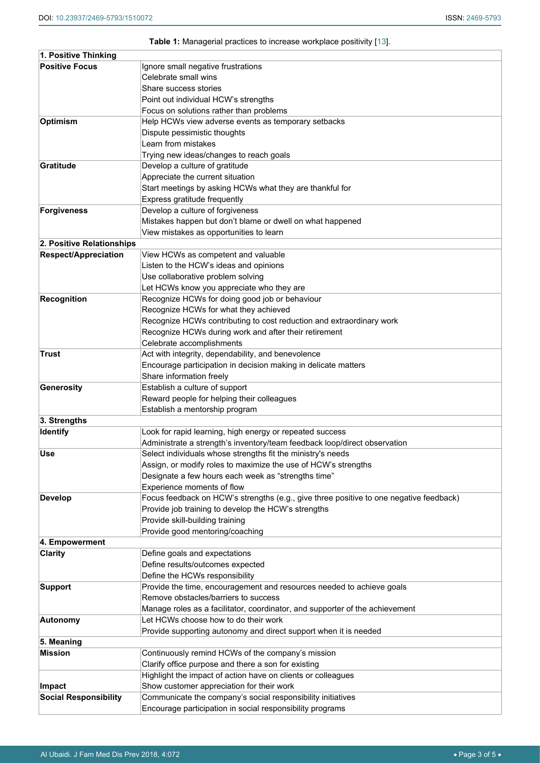### <span id="page-2-0"></span>**Table 1:** Managerial practices to increase workplace positivity [[13\]](#page-4-6).

| 1. Positive Thinking         |                                                                                        |
|------------------------------|----------------------------------------------------------------------------------------|
| <b>Positive Focus</b>        | Ignore small negative frustrations                                                     |
|                              | Celebrate small wins                                                                   |
|                              | Share success stories                                                                  |
|                              | Point out individual HCW's strengths                                                   |
|                              | Focus on solutions rather than problems                                                |
| Optimism                     | Help HCWs view adverse events as temporary setbacks                                    |
|                              | Dispute pessimistic thoughts                                                           |
|                              | Learn from mistakes                                                                    |
|                              | Trying new ideas/changes to reach goals                                                |
| <b>Gratitude</b>             | Develop a culture of gratitude                                                         |
|                              | Appreciate the current situation                                                       |
|                              | Start meetings by asking HCWs what they are thankful for                               |
|                              | Express gratitude frequently                                                           |
| Forgiveness                  | Develop a culture of forgiveness                                                       |
|                              | Mistakes happen but don't blame or dwell on what happened                              |
|                              | View mistakes as opportunities to learn                                                |
| 2. Positive Relationships    |                                                                                        |
| <b>Respect/Appreciation</b>  | View HCWs as competent and valuable                                                    |
|                              | Listen to the HCW's ideas and opinions                                                 |
|                              | Use collaborative problem solving                                                      |
|                              | Let HCWs know you appreciate who they are                                              |
| <b>Recognition</b>           | Recognize HCWs for doing good job or behaviour                                         |
|                              | Recognize HCWs for what they achieved                                                  |
|                              | Recognize HCWs contributing to cost reduction and extraordinary work                   |
|                              | Recognize HCWs during work and after their retirement                                  |
|                              | Celebrate accomplishments                                                              |
| <b>Trust</b>                 | Act with integrity, dependability, and benevolence                                     |
|                              | Encourage participation in decision making in delicate matters                         |
|                              | Share information freely                                                               |
| Generosity                   | Establish a culture of support                                                         |
|                              | Reward people for helping their colleagues                                             |
|                              | Establish a mentorship program                                                         |
| 3. Strengths                 |                                                                                        |
| <b>Identify</b>              | Look for rapid learning, high energy or repeated success                               |
|                              | Administrate a strength's inventory/team feedback loop/direct observation              |
| Use                          | Select individuals whose strengths fit the ministry's needs                            |
|                              | Assign, or modify roles to maximize the use of HCW's strengths                         |
|                              | Designate a few hours each week as "strengths time"                                    |
|                              | Experience moments of flow                                                             |
| <b>Develop</b>               | Focus feedback on HCW's strengths (e.g., give three positive to one negative feedback) |
|                              | Provide job training to develop the HCW's strengths                                    |
|                              | Provide skill-building training                                                        |
|                              | Provide good mentoring/coaching                                                        |
| 4. Empowerment               |                                                                                        |
| <b>Clarity</b>               | Define goals and expectations<br>Define results/outcomes expected                      |
|                              | Define the HCWs responsibility                                                         |
| <b>Support</b>               | Provide the time, encouragement and resources needed to achieve goals                  |
|                              | Remove obstacles/barriers to success                                                   |
|                              | Manage roles as a facilitator, coordinator, and supporter of the achievement           |
| <b>Autonomy</b>              | Let HCWs choose how to do their work                                                   |
|                              | Provide supporting autonomy and direct support when it is needed                       |
| 5. Meaning                   |                                                                                        |
| <b>Mission</b>               | Continuously remind HCWs of the company's mission                                      |
|                              | Clarify office purpose and there a son for existing                                    |
|                              | Highlight the impact of action have on clients or colleagues                           |
| Impact                       | Show customer appreciation for their work                                              |
| <b>Social Responsibility</b> | Communicate the company's social responsibility initiatives                            |
|                              | Encourage participation in social responsibility programs                              |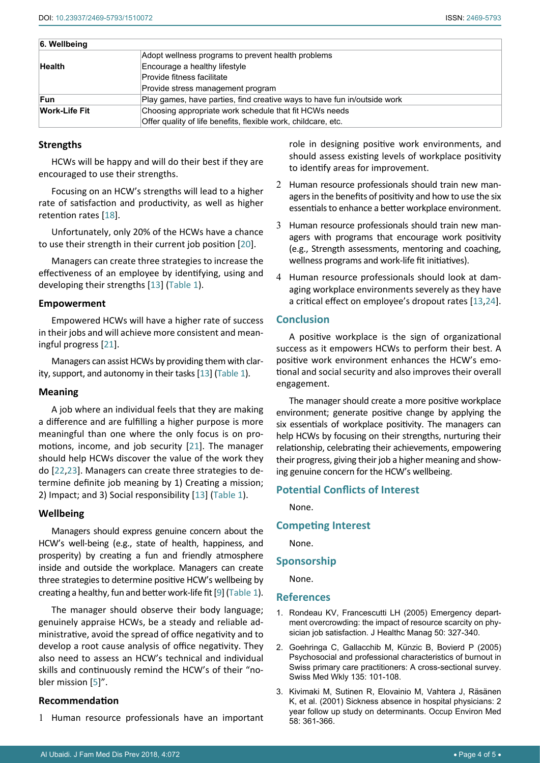| 6. Wellbeing         |                                                                          |
|----------------------|--------------------------------------------------------------------------|
|                      | Adopt wellness programs to prevent health problems                       |
| <b>Health</b>        | Encourage a healthy lifestyle                                            |
|                      | Provide fitness facilitate                                               |
|                      | Provide stress management program                                        |
| <b>Fun</b>           | Play games, have parties, find creative ways to have fun in/outside work |
| <b>Work-Life Fit</b> | Choosing appropriate work schedule that fit HCWs needs                   |
|                      | Offer quality of life benefits, flexible work, childcare, etc.           |

### **Strengths**

HCWs will be happy and will do their best if they are encouraged to use their strengths.

Focusing on an HCW's strengths will lead to a higher rate of satisfaction and productivity, as well as higher retention rates [[18\]](#page-4-11).

Unfortunately, only 20% of the HCWs have a chance to use their strength in their current job position [[20](#page-4-17)].

Managers can create three strategies to increase the effectiveness of an employee by identifying, using and developing their strengths [[13](#page-4-6)] [\(Table 1\)](#page-2-0).

#### **Empowerment**

Empowered HCWs will have a higher rate of success in their jobs and will achieve more consistent and meaningful progress [[21\]](#page-4-18).

Managers can assist HCWs by providing them with clarity, support, and autonomy in their tasks [[13](#page-4-6)] ([Table 1\)](#page-2-0).

#### **Meaning**

A job where an individual feels that they are making a difference and are fulfilling a higher purpose is more meaningful than one where the only focus is on promotions, income, and job security [[21\]](#page-4-18). The manager should help HCWs discover the value of the work they do [[22](#page-4-19)[,23](#page-4-20)]. Managers can create three strategies to determine definite job meaning by 1) Creating a mission; 2) Impact; and 3) Social responsibility [[13](#page-4-6)] [\(Table 1\)](#page-2-0).

# **Wellbeing**

Managers should express genuine concern about the HCW's well-being (e.g., state of health, happiness, and prosperity) by creating a fun and friendly atmosphere inside and outside the workplace. Managers can create three strategies to determine positive HCW's wellbeing by creating a healthy, fun and better work-life fit [[9](#page-4-2)] ([Table 1\)](#page-2-0).

The manager should observe their body language; genuinely appraise HCWs, be a steady and reliable administrative, avoid the spread of office negativity and to develop a root cause analysis of office negativity. They also need to assess an HCW's technical and individual skills and continuously remind the HCW's of their "nobler mission [[5](#page-4-1)]".

# **Recommendation**

1 Human resource professionals have an important

role in designing positive work environments, and should assess existing levels of workplace positivity to identify areas for improvement.

- 2 Human resource professionals should train new managers in the benefits of positivity and how to use the six essentials to enhance a better workplace environment.
- 3 Human resource professionals should train new managers with programs that encourage work positivity (e.g., Strength assessments, mentoring and coaching, wellness programs and work-life fit initiatives).
- 4 Human resource professionals should look at damaging workplace environments severely as they have a critical effect on employee's dropout rates [[13](#page-4-6)[,24\]](#page-4-16).

# **Conclusion**

A positive workplace is the sign of organizational success as it empowers HCWs to perform their best. A positive work environment enhances the HCW's emotional and social security and also improves their overall engagement.

The manager should create a more positive workplace environment; generate positive change by applying the six essentials of workplace positivity. The managers can help HCWs by focusing on their strengths, nurturing their relationship, celebrating their achievements, empowering their progress, giving their job a higher meaning and showing genuine concern for the HCW's wellbeing.

# **Potential Conflicts of Interest**

None.

# **Competing Interest**

None.

#### **Sponsorship**

None.

#### **References**

- <span id="page-3-2"></span>1. [Rondeau KV, Francescutti LH \(2005\) Emergency depart](https://www.ncbi.nlm.nih.gov/pubmed/16268411)[ment overcrowding: the impact of resource scarcity on phy](https://www.ncbi.nlm.nih.gov/pubmed/16268411)[sician job satisfaction. J Healthc Manag 50: 327-340.](https://www.ncbi.nlm.nih.gov/pubmed/16268411)
- <span id="page-3-0"></span>2. [Goehringa C, Gallacchib M, Künzic B, Bovierd P \(2005\)](https://smw.ch/article/doi/smw.2005.10841)  [Psychosocial and professional characteristics of burnout in](https://smw.ch/article/doi/smw.2005.10841)  [Swiss primary care practitioners: A cross-sectional survey.](https://smw.ch/article/doi/smw.2005.10841)  [Swiss Med Wkly 135: 101-108.](https://smw.ch/article/doi/smw.2005.10841)
- <span id="page-3-1"></span>3. [Kivimaki M, Sutinen R,](https://www.ncbi.nlm.nih.gov/pubmed/11351050) Elovainio M, Vahtera J, Räsänen [K, et al. \(2001\) Sickness absence in hospital physicians: 2](https://www.ncbi.nlm.nih.gov/pubmed/11351050)  [year follow up study on determinants. Occup Environ Med](https://www.ncbi.nlm.nih.gov/pubmed/11351050)  [58: 361-366.](https://www.ncbi.nlm.nih.gov/pubmed/11351050)